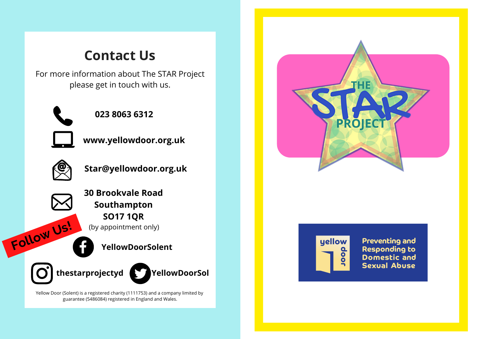## **Contact Us**

For more information about The STAR Project please get in touch with us.



**023 8063 6312**



**www.yellowdoor.org.uk**



**Star@yellowdoor.org.uk**



**Follow Us!**

(by appointment only) **30 Brookvale Road Southampton SO17 1QR**

**YellowDoorSolent**

**thestarprojectyd YellowDoorSol**

Yellow Door (Solent) is a registered charity (1111753) and a company limited by guarantee (5486084) registered in England and Wales.





**Preventing and Responding to Domestic and Sexual Abuse**